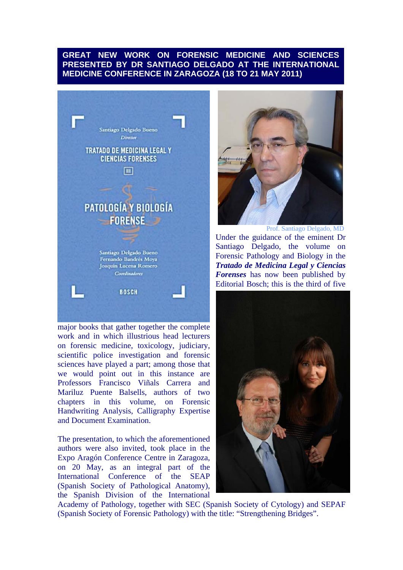# **GREAT NEW WORK ON FORENSIC MEDICINE AND SCIENCES PRESENTED BY DR SANTIAGO DELGADO AT THE INTERNATIONAL MEDICINE CONFERENCE IN ZARAGOZA (18 TO 21 MAY 2011)**



major books that gather together the complete work and in which illustrious head lecturers on forensic medicine, toxicology, judiciary, scientific police investigation and forensic sciences have played a part; among those that we would point out in this instance are Professors Francisco Viñals Carrera and Mariluz Puente Balsells, authors of two chapters in this volume, on Forensic Handwriting Analysis, Calligraphy Expertise and Document Examination.

The presentation, to which the aforementioned authors were also invited, took place in the Expo Aragón Conference Centre in Zaragoza, on 20 May, as an integral part of the International Conference of the SEAP (Spanish Society of Pathological Anatomy), the Spanish Division of the International



Under the guidance of the eminent Dr Santiago Delgado, the volume on Forensic Pathology and Biology in the *Tratado de Medicina Legal y Ciencias Forenses* has now been published by Editorial Bosch; this is the third of five



Academy of Pathology, together with SEC (Spanish Society of Cytology) and SEPAF (Spanish Society of Forensic Pathology) with the title: "Strengthening Bridges".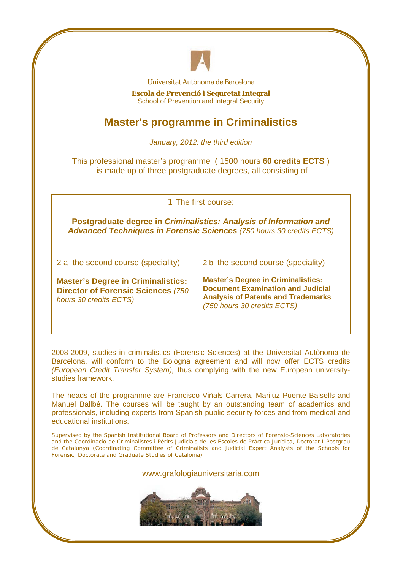

Universitat Autònoma de Barcelona

**Escola de Prevenció i Seguretat Integral**  School of Prevention and Integral Security

# **Master's programme in Criminalistics**

*January, 2012: the third edition* 

This professional master's programme ( 1500 hours **60 credits ECTS** ) is made up of three postgraduate degrees, all consisting of

| 1 The first course:                                                                                                                                      |                                                                                                                                                                   |
|----------------------------------------------------------------------------------------------------------------------------------------------------------|-------------------------------------------------------------------------------------------------------------------------------------------------------------------|
| <b>Postgraduate degree in Criminalistics: Analysis of Information and</b><br><b>Advanced Techniques in Forensic Sciences</b> (750 hours 30 credits ECTS) |                                                                                                                                                                   |
| 2 a the second course (speciality)                                                                                                                       | 2 b the second course (speciality)                                                                                                                                |
| <b>Master's Degree in Criminalistics:</b><br><b>Director of Forensic Sciences (750)</b><br>hours 30 credits ECTS)                                        | <b>Master's Degree in Criminalistics:</b><br><b>Document Examination and Judicial</b><br><b>Analysis of Patents and Trademarks</b><br>(750 hours 30 credits ECTS) |

2008-2009, studies in criminalistics (Forensic Sciences) at the Universitat Autònoma de Barcelona, will conform to the Bologna agreement and will now offer ECTS credits *(European Credit Transfer System),* thus complying with the new European universitystudies framework.

The heads of the programme are Francisco Viñals Carrera, Mariluz Puente Balsells and Manuel Ballbé. The courses will be taught by an outstanding team of academics and professionals, including experts from Spanish public-security forces and from medical and educational institutions.

Supervised by the Spanish Institutional Board of Professors and Directors of Forensic-Sciences Laboratories and the *Coordinació de Criminalistes i Pèrits Judicials de les Escoles de Pràctica Jurídica, Doctorat I Postgrau de Catalunya (*Coordinating Committee of Criminalists and Judicial Expert Analysts of the Schools for Forensic, Doctorate and Graduate Studies of Catalonia)

www.grafologiauniversitaria.com

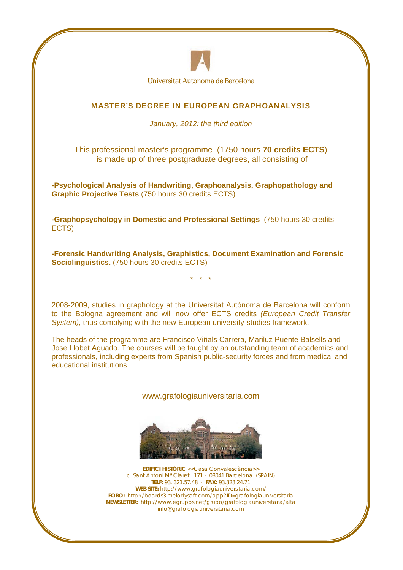

Universitat Autònoma de Barcelona

### MASTER'S DEGREE IN EUROPEAN GRAPHOANALYSIS

#### *January, 2012: the third edition*

This professional master's programme (1750 hours **70 credits ECTS**) is made up of three postgraduate degrees, all consisting of

**-Psychological Analysis of Handwriting, Graphoanalysis, Graphopathology and Graphic Projective Tests** (750 hours 30 credits ECTS)

**-Graphopsychology in Domestic and Professional Settings** (750 hours 30 credits ECTS)

**-Forensic Handwriting Analysis, Graphistics, Document Examination and Forensic Sociolinguistics.** (750 hours 30 credits ECTS)

\* \* \*

2008-2009, studies in graphology at the Universitat Autònoma de Barcelona will conform to the Bologna agreement and will now offer ECTS credits *(European Credit Transfer System),* thus complying with the new European university-studies framework.

The heads of the programme are Francisco Viñals Carrera, Mariluz Puente Balsells and Jose Llobet Aguado. The courses will be taught by an outstanding team of academics and professionals, including experts from Spanish public-security forces and from medical and educational institutions

www.grafologiauniversitaria.com



**EDIFICI HISTÒRIC** <<Casa Convalescència>> c. Sant Antoni Mª Claret, 171 - 08041 Barcelona (SPAIN) **TELF:** 93. 321.57.48 - **FAX:** 93.323.24.71 **WEB SITE:** http://www.grafologiauniversitaria.com/ **FORO:** http://boards3.melodysoft.com/app?ID=grafologiauniversitaria **NEWSLETTER:** http://www.egrupos.net/grupo/grafologiauniversitaria/alta info@grafologiauniversitaria.com